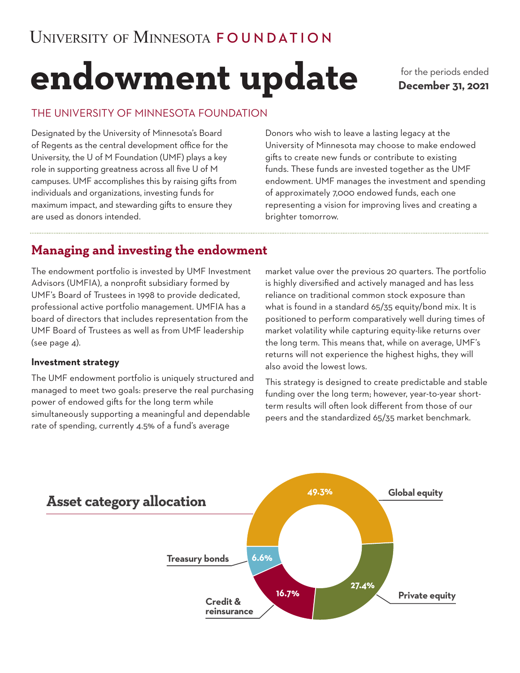# **endowment update**

for the periods ended **December 31, 2021**

## THE UNIVERSITY OF MINNESOTA FOUNDATION

Designated by the University of Minnesota's Board of Regents as the central development office for the University, the U of M Foundation (UMF) plays a key role in supporting greatness across all five U of M campuses. UMF accomplishes this by raising gifts from individuals and organizations, investing funds for maximum impact, and stewarding gifts to ensure they are used as donors intended.

Donors who wish to leave a lasting legacy at the University of Minnesota may choose to make endowed gifts to create new funds or contribute to existing funds. These funds are invested together as the UMF endowment. UMF manages the investment and spending of approximately 7,000 endowed funds, each one representing a vision for improving lives and creating a brighter tomorrow.

# **Managing and investing the endowment**

The endowment portfolio is invested by UMF Investment Advisors (UMFIA), a nonprofit subsidiary formed by UMF's Board of Trustees in 1998 to provide dedicated, professional active portfolio management. UMFIA has a board of directors that includes representation from the UMF Board of Trustees as well as from UMF leadership (see page 4).

#### **Investment strategy**

The UMF endowment portfolio is uniquely structured and managed to meet two goals: preserve the real purchasing power of endowed gifts for the long term while simultaneously supporting a meaningful and dependable rate of spending, currently 4.5% of a fund's average

market value over the previous 20 quarters. The portfolio is highly diversified and actively managed and has less reliance on traditional common stock exposure than what is found in a standard 65/35 equity/bond mix. It is positioned to perform comparatively well during times of market volatility while capturing equity-like returns over the long term. This means that, while on average, UMF's returns will not experience the highest highs, they will also avoid the lowest lows.

This strategy is designed to create predictable and stable funding over the long term; however, year-to-year shortterm results will often look different from those of our peers and the standardized 65/35 market benchmark.

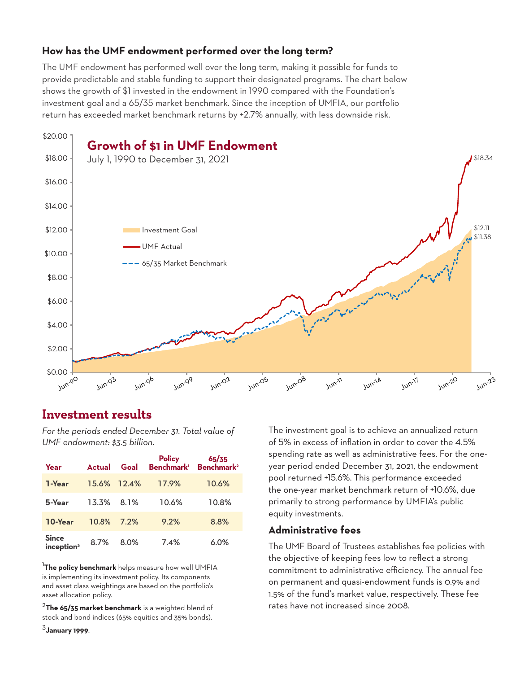## **How has the UMF endowment performed over the long term?**

The UMF endowment has performed well over the long term, making it possible for funds to provide predictable and stable funding to support their designated programs. The chart below shows the growth of \$1 invested in the endowment in 1990 compared with the Foundation's investment goal and a 65/35 market benchmark. Since the inception of UMFIA, our portfolio return has exceeded market benchmark returns by +2.7% annually, with less downside risk.



# **Investment results**

*For the periods ended December 31. Total value of UMF endowment: \$3.5 billion.*

| Year                                            | <b>Actual</b> | Goal        | <b>Policy</b> | 65/35<br>Benchmark <sup>1</sup> Benchmark <sup>2</sup> |
|-------------------------------------------------|---------------|-------------|---------------|--------------------------------------------------------|
| 1-Year                                          |               | 15.6% 12.4% | 17.9%         | 10.6%                                                  |
| 5-Year                                          | 13.3% 8.1%    |             | 10.6%         | 10.8%                                                  |
| 10-Year                                         | 10.8%         | 7.2%        | 9.2%          | 8.8%                                                   |
| <b>Since</b><br>$\mathop{\mathsf{inception^3}}$ | 8.7%          | 8.0%        | 7.4%          | 6.0%                                                   |

1 **The policy benchmark** helps measure how well UMFIA is implementing its investment policy. Its components and asset class weightings are based on the portfolio's asset allocation policy.

<sup>2</sup>**The 65/35 market benchmark** is a weighted blend of stock and bond indices (65% equities and 35% bonds).

<sup>3</sup>**January 1999**.

The investment goal is to achieve an annualized return of 5% in excess of inflation in order to cover the 4.5% spending rate as well as administrative fees. For the oneyear period ended December 31, 2021, the endowment pool returned +15.6%. This performance exceeded the one-year market benchmark return of +10.6%, due primarily to strong performance by UMFIA's public equity investments.

## **Administrative fees**

The UMF Board of Trustees establishes fee policies with the objective of keeping fees low to reflect a strong commitment to administrative efficiency. The annual fee on permanent and quasi-endowment funds is 0.9% and 1.5% of the fund's market value, respectively. These fee rates have not increased since 2008.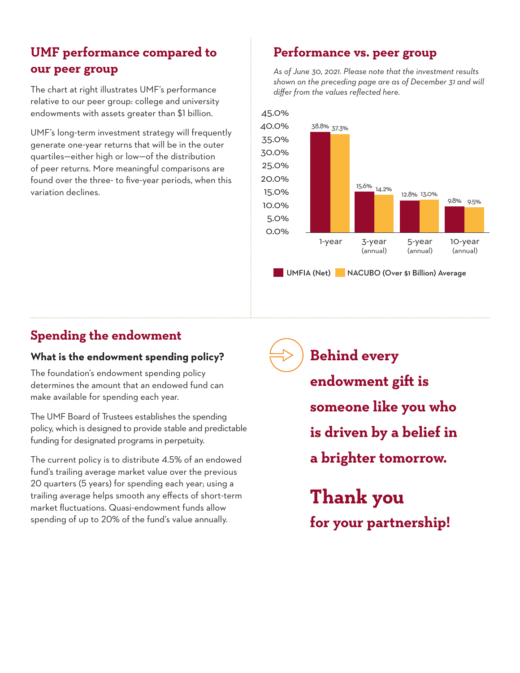# **UMF performance compared to our peer group**

The chart at right illustrates UMF's performance relative to our peer group: college and university endowments with assets greater than \$1 billion.

UMF's long-term investment strategy will frequently generate one-year returns that will be in the outer quartiles—either high or low—of the distribution of peer returns. More meaningful comparisons are found over the three- to five-year periods, when this variation declines.

# **Performance vs. peer group**

*As of June 30, 2021. Please note that the investment results shown on the preceding page are as of December 31 and will differ from the values reflected here.* 



# **Spending the endowment**

## **What is the endowment spending policy?**

The foundation's endowment spending policy determines the amount that an endowed fund can make available for spending each year.

The UMF Board of Trustees establishes the spending policy, which is designed to provide stable and predictable funding for designated programs in perpetuity.

The current policy is to distribute 4.5% of an endowed fund's trailing average market value over the previous 20 quarters (5 years) for spending each year; using a trailing average helps smooth any effects of short-term market fluctuations. Quasi-endowment funds allow spending of up to 20% of the fund's value annually.

**Behind every** 

- **endowment gift is**
- **someone like you who**
- **is driven by a belief in**
- **a brighter tomorrow.**

**Thank you for your partnership!**